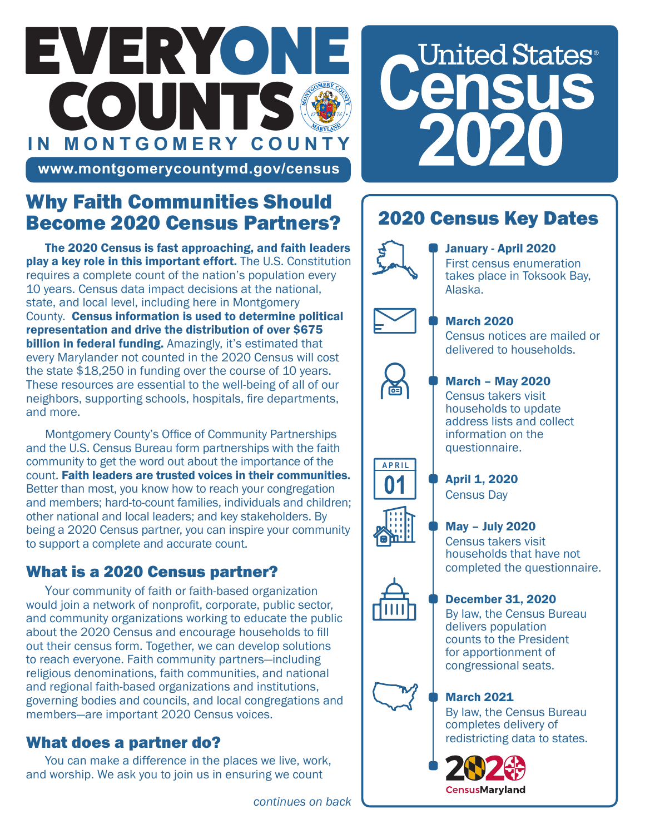# EVERYONE COUNTS **IN MONTGOMERY COUNTY**



## **www.montgomerycountymd.gov/census**

# Why Faith Communities Should Become 2020 Census Partners?

The 2020 Census is fast approaching, and faith leaders play a key role in this important effort. The U.S. Constitution requires a complete count of the nation's population every 10 years. Census data impact decisions at the national, state, and local level, including here in Montgomery County. Census information is used to determine political representation and drive the distribution of over \$675 billion in federal funding. Amazingly, it's estimated that every Marylander not counted in the 2020 Census will cost the state \$18,250 in funding over the course of 10 years. These resources are essential to the well-being of all of our neighbors, supporting schools, hospitals, fire departments, and more.

Montgomery County's Office of Community Partnerships and the U.S. Census Bureau form partnerships with the faith community to get the word out about the importance of the count. Faith leaders are trusted voices in their communities. Better than most, you know how to reach your congregation and members; hard-to-count families, individuals and children; other national and local leaders; and key stakeholders. By being a 2020 Census partner, you can inspire your community to support a complete and accurate count.

## What is a 2020 Census partner?

Your community of faith or faith-based organization would join a network of nonprofit, corporate, public sector, and community organizations working to educate the public about the 2020 Census and encourage households to fill out their census form. Together, we can develop solutions to reach everyone. Faith community partners—including religious denominations, faith communities, and national and regional faith-based organizations and institutions, governing bodies and councils, and local congregations and members—are important 2020 Census voices.

### What does a partner do?

You can make a difference in the places we live, work, and worship. We ask you to join us in ensuring we count

# 2020 Census Key Dates



#### January - April 2020

First census enumeration takes place in Toksook Bay, Alaska.



**APRIL** 

#### March 2020

Census notices are mailed or delivered to households.

#### March – May 2020

Census takers visit households to update address lists and collect information on the questionnaire.

April 1, 2020 Census Day

#### May – July 2020

Census takers visit households that have not completed the questionnaire.

#### December 31, 2020

By law, the Census Bureau delivers population counts to the President for apportionment of congressional seats.

#### March 2021

By law, the Census Bureau completes delivery of redistricting data to states.